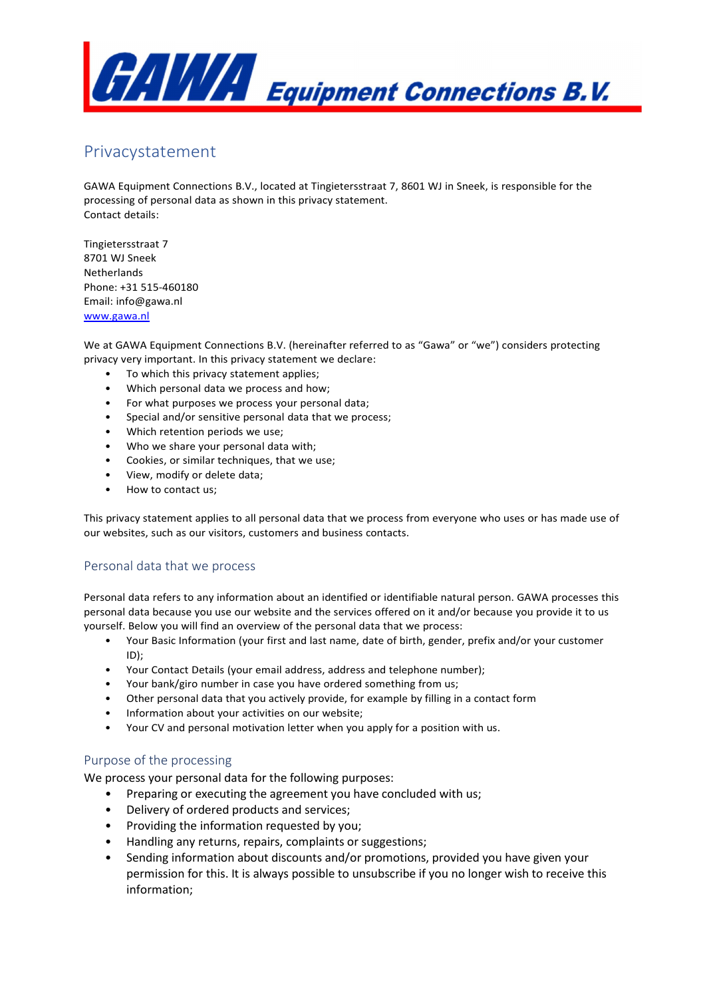

# Privacystatement

GAWA Equipment Connections B.V., located at Tingietersstraat 7, 8601 WJ in Sneek, is responsible for the processing of personal data as shown in this privacy statement. Contact details:

Tingietersstraat 7 8701 WJ Sneek Netherlands Phone: +31 515-460180 Email: info@gawa.nl www.gawa.nl

We at GAWA Equipment Connections B.V. (hereinafter referred to as "Gawa" or "we") considers protecting privacy very important. In this privacy statement we declare:

- To which this privacy statement applies;
- Which personal data we process and how;
- For what purposes we process your personal data;
- Special and/or sensitive personal data that we process;
- Which retention periods we use;
- Who we share your personal data with;
- Cookies, or similar techniques, that we use;
- View, modify or delete data;
- How to contact us;

This privacy statement applies to all personal data that we process from everyone who uses or has made use of our websites, such as our visitors, customers and business contacts.

## Personal data that we process

Personal data refers to any information about an identified or identifiable natural person. GAWA processes this personal data because you use our website and the services offered on it and/or because you provide it to us yourself. Below you will find an overview of the personal data that we process:

- Your Basic Information (your first and last name, date of birth, gender, prefix and/or your customer ID);
- Your Contact Details (your email address, address and telephone number);
- Your bank/giro number in case you have ordered something from us;
- Other personal data that you actively provide, for example by filling in a contact form
- Information about your activities on our website;
- Your CV and personal motivation letter when you apply for a position with us.

## Purpose of the processing

We process your personal data for the following purposes:

- Preparing or executing the agreement you have concluded with us;
- Delivery of ordered products and services;
- Providing the information requested by you;
- Handling any returns, repairs, complaints or suggestions;
- Sending information about discounts and/or promotions, provided you have given your permission for this. It is always possible to unsubscribe if you no longer wish to receive this information;